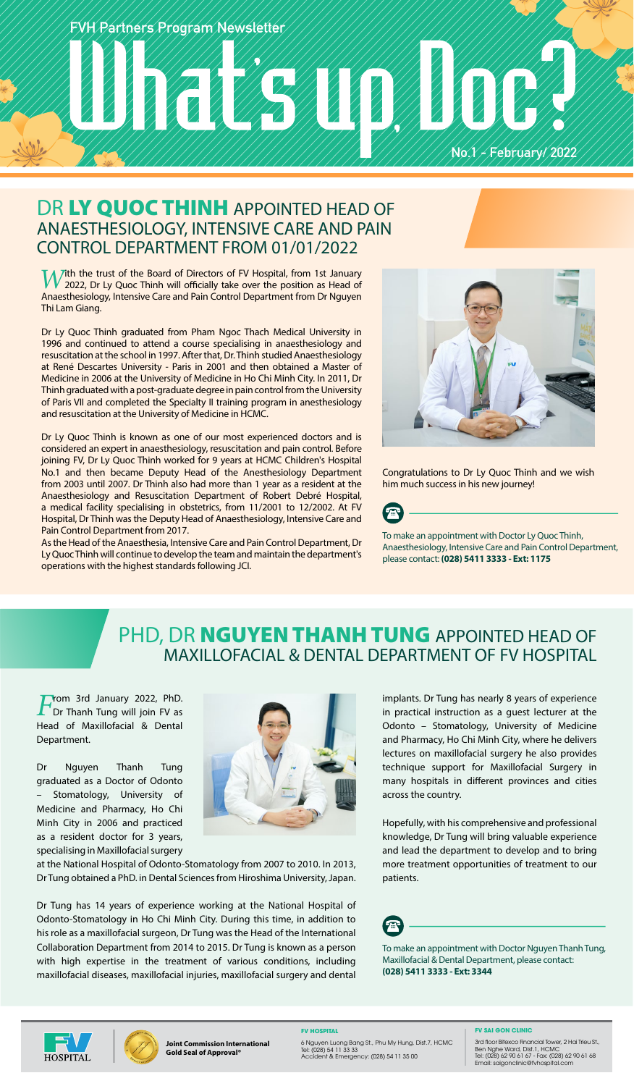**FVH Partners Program Newsletter**

# **No.1 - February/ 2022**

### DR LY QUOC THINH APPOINTED HEAD OF ANAESTHESIOLOGY, INTENSIVE CARE AND PAIN CONTROL DEPARTMENT FROM 01/01/2022

*W*ith the trust of the Board of Directors of FV Hospital, from 1st January<br>
2022, Dr Ly Quoc Thinh will officially take over the position as Head of<br>
Appechasiology Intensive Care and Dain Central Department from Dr Nauve Anaesthesiology, Intensive Care and Pain Control Department from Dr Nguyen Thi Lam Giang.

Dr Ly Quoc Thinh graduated from Pham Ngoc Thach Medical University in 1996 and continued to attend a course specialising in anaesthesiology and resuscitation at the school in 1997. After that, Dr. Thinh studied Anaesthesiology at René Descartes University - Paris in 2001 and then obtained a Master of Medicine in 2006 at the University of Medicine in Ho Chi Minh City. In 2011, Dr Thinh graduated with a post-graduate degree in pain control from the University of Paris VII and completed the Specialty II training program in anesthesiology and resuscitation at the University of Medicine in HCMC.

Dr Ly Quoc Thinh is known as one of our most experienced doctors and is considered an expert in anaesthesiology, resuscitation and pain control. Before joining FV, Dr Ly Quoc Thinh worked for 9 years at HCMC Children's Hospital No.1 and then became Deputy Head of the Anesthesiology Department from 2003 until 2007. Dr Thinh also had more than 1 year as a resident at the Anaesthesiology and Resuscitation Department of Robert Debré Hospital, a medical facility specialising in obstetrics, from 11/2001 to 12/2002. At FV Hospital, Dr Thinh was the Deputy Head of Anaesthesiology, Intensive Care and Pain Control Department from 2017.

As the Head of the Anaesthesia, Intensive Care and Pain Control Department, Dr Ly Quoc Thinh will continue to develop the team and maintain the department's operations with the highest standards following JCI.



Congratulations to Dr Ly Quoc Thinh and we wish him much success in his new journey!



To make an appointment with Doctor Ly Quoc Thinh, Anaesthesiology, Intensive Care and Pain Control Department, please contact: **(028) 5411 3333 - Ext: 1175**

## PHD, DR **NGUYEN THANH TUNG** APPOINTED HEAD OF MAXILLOFACIAL & DENTAL DEPARTMENT OF FV HOSPITAL

**From 3rd January 2022, PhD.**<br>Dr Thanh Tung will join FV as Head of Maxillofacial & Dental Department.

Dr Nguyen Thanh Tung graduated as a Doctor of Odonto Stomatology, University of Medicine and Pharmacy, Ho Chi Minh City in 2006 and practiced as a resident doctor for 3 years, specialising in Maxillofacial surgery



at the National Hospital of Odonto-Stomatology from 2007 to 2010. In 2013, Dr Tung obtained a PhD. in Dental Sciences from Hiroshima University, Japan.

Dr Tung has 14 years of experience working at the National Hospital of Odonto-Stomatology in Ho Chi Minh City. During this time, in addition to his role as a maxillofacial surgeon, Dr Tung was the Head of the International Collaboration Department from 2014 to 2015. Dr Tung is known as a person with high expertise in the treatment of various conditions, including maxillofacial diseases, maxillofacial injuries, maxillofacial surgery and dental

implants. Dr Tung has nearly 8 years of experience in practical instruction as a guest lecturer at the Odonto – Stomatology, University of Medicine and Pharmacy, Ho Chi Minh City, where he delivers lectures on maxillofacial surgery he also provides technique support for Maxillofacial Surgery in many hospitals in different provinces and cities across the country.

Hopefully, with his comprehensive and professional knowledge, Dr Tung will bring valuable experience and lead the department to develop and to bring more treatment opportunities of treatment to our patients.



To make an appointment with Doctor Nguyen Thanh Tung, Maxillofacial & Dental Department, please contact: **(028) 5411 3333 - Ext: 3344**





**Joint Commission International Gold Seal of Approval®**

**FV HOSPITAL** 6 Nguyen Luong Bang St., Phu My Hung, Dist.7, HCMC Tel: (028) 54 11 33 33 Accident & Emergency: (028) 54 11 35 00

#### **FV SAI GON CLINIC**

3rd floor Bitexco Financial Tower, 2 Hai Trieu St., Ben Nghe Ward, Dist.1, HCMC Tel: (028) 62 90 61 67 - Fax: (028) 62 90 61 68 Email: saigonclinic@fvhospital.com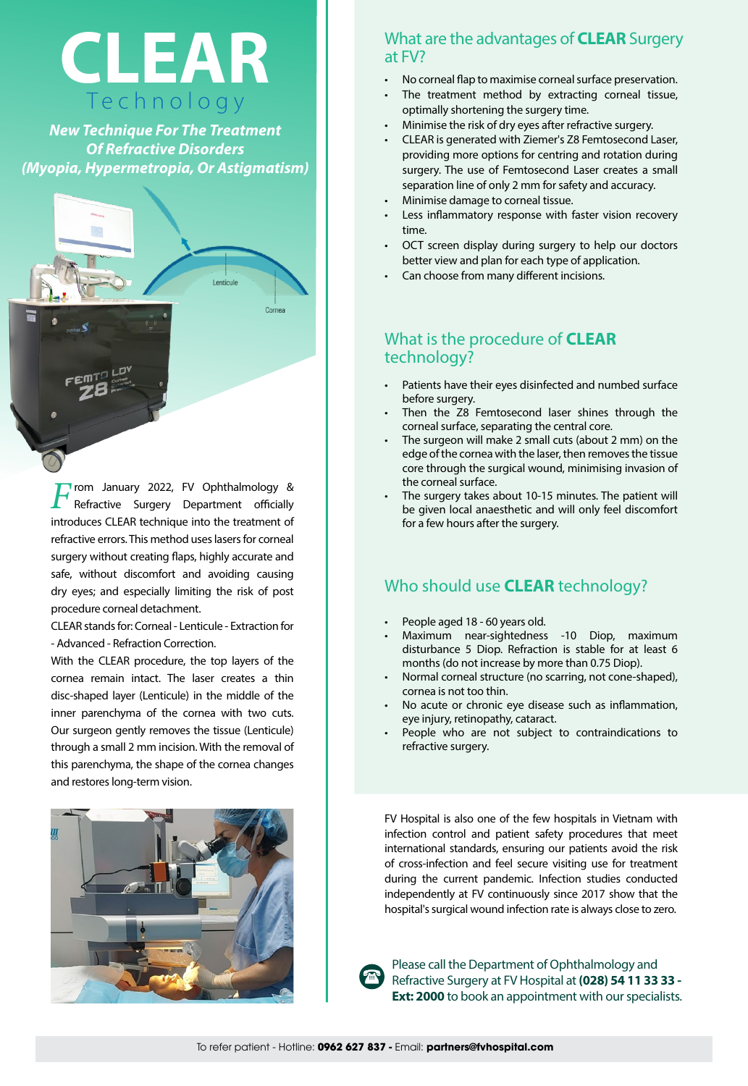

*New Technique For The Treatment Of Refractive Disorders (Myopia, Hypermetropia, Or Astigmatism)*



**F**rom January 2022, FV Ophthalmology & Refractive Surgery Department officially introduces CLEAR technique into the treatment of refractive errors. This method uses lasers for corneal surgery without creating flaps, highly accurate and safe, without discomfort and avoiding causing dry eyes; and especially limiting the risk of post procedure corneal detachment.

CLEAR stands for: Corneal - Lenticule - Extraction for - Advanced - Refraction Correction.

With the CLEAR procedure, the top layers of the cornea remain intact. The laser creates a thin disc-shaped layer (Lenticule) in the middle of the inner parenchyma of the cornea with two cuts. Our surgeon gently removes the tissue (Lenticule) through a small 2 mm incision. With the removal of this parenchyma, the shape of the cornea changes and restores long-term vision.



#### What are the advantages of **CLEAR** Surgery at FV?

- No corneal flap to maximise corneal surface preservation.
- The treatment method by extracting corneal tissue, optimally shortening the surgery time.
- Minimise the risk of dry eyes after refractive surgery.
- CLEAR is generated with Ziemer's Z8 Femtosecond Laser, providing more options for centring and rotation during surgery. The use of Femtosecond Laser creates a small separation line of only 2 mm for safety and accuracy.
- Minimise damage to corneal tissue.
- Less inflammatory response with faster vision recovery time.
- OCT screen display during surgery to help our doctors better view and plan for each type of application.
- Can choose from many different incisions.

#### What is the procedure of **CLEAR** technology?

- Patients have their eyes disinfected and numbed surface before surgery.
- Then the Z8 Femtosecond laser shines through the corneal surface, separating the central core.
- The surgeon will make 2 small cuts (about 2 mm) on the edge of the cornea with the laser, then removes the tissue core through the surgical wound, minimising invasion of the corneal surface.
- The surgery takes about 10-15 minutes. The patient will be given local anaesthetic and will only feel discomfort for a few hours after the surgery.

#### Who should use **CLEAR** technology?

- People aged 18 60 years old.
- Maximum near-sightedness -10 Diop, maximum disturbance 5 Diop. Refraction is stable for at least 6 months (do not increase by more than 0.75 Diop).
- Normal corneal structure (no scarring, not cone-shaped), cornea is not too thin.
- No acute or chronic eye disease such as inflammation, eye injury, retinopathy, cataract.
- People who are not subject to contraindications to refractive surgery.

FV Hospital is also one of the few hospitals in Vietnam with infection control and patient safety procedures that meet international standards, ensuring our patients avoid the risk of cross-infection and feel secure visiting use for treatment during the current pandemic. Infection studies conducted independently at FV continuously since 2017 show that the hospital's surgical wound infection rate is always close to zero.



Please call the Department of Ophthalmology and Refractive Surgery at FV Hospital at **(028) 54 11 33 33 - Ext: 2000** to book an appointment with our specialists.